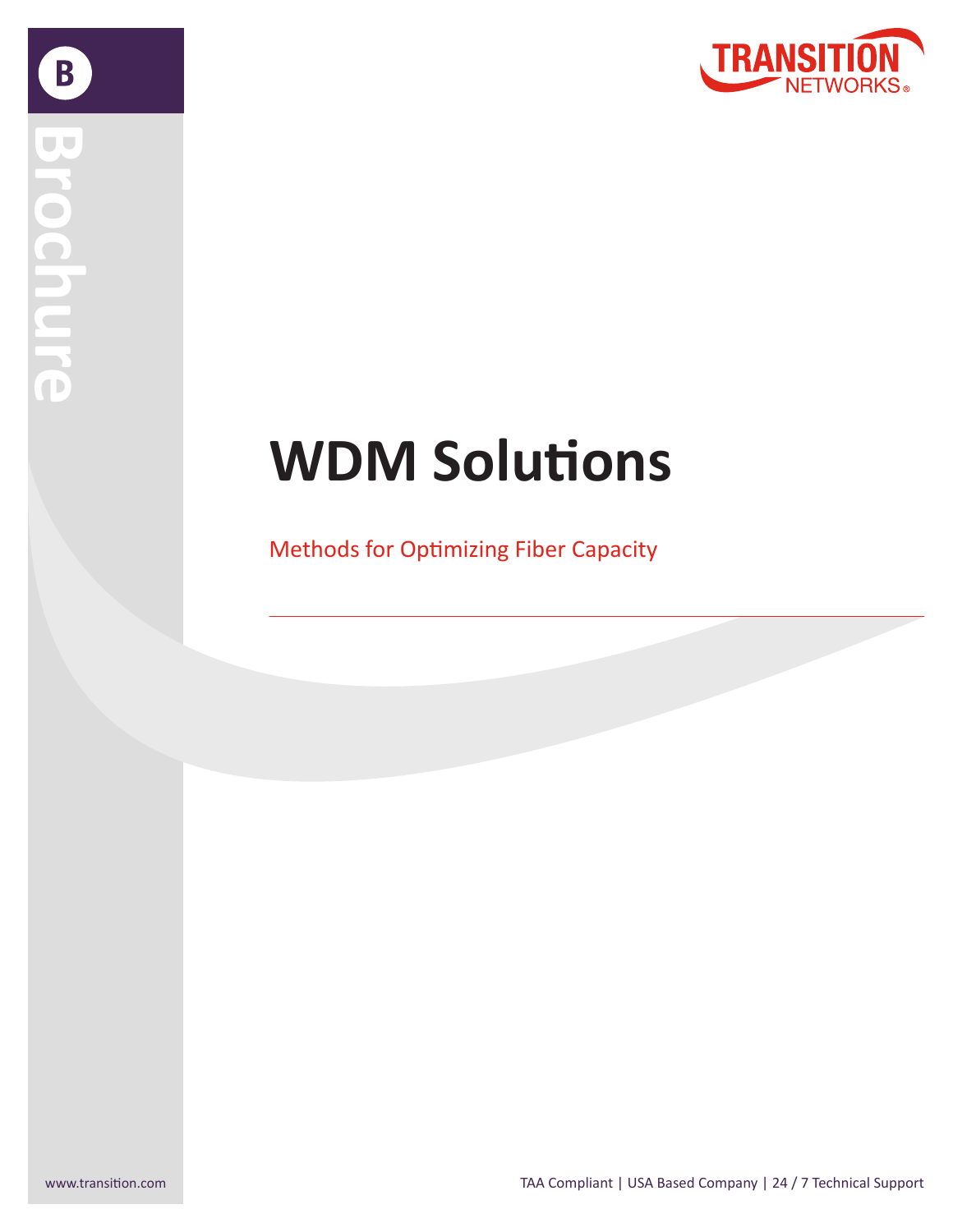

 $\mathbf B$ 

# WDM Solutions<br>
Methods for Optimizing Fiber Capacity<br>
Methods for Optimizing Fiber Capacity<br>
TAA Company | 24 / 7 Technical Support | | USA Based Company | 24 / 7 Technical Support **WDM Solutions**

Methods for Optimizing Fiber Capacity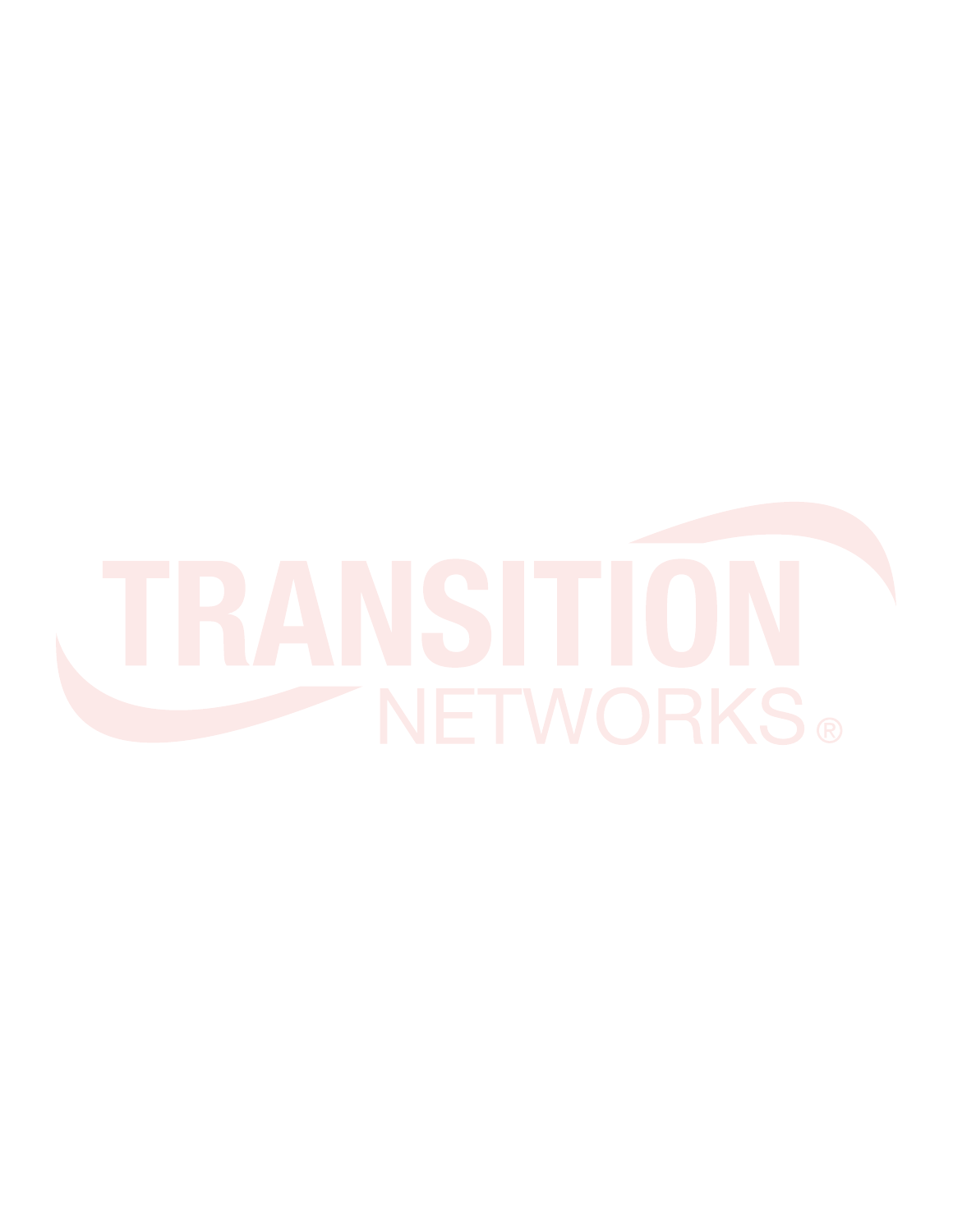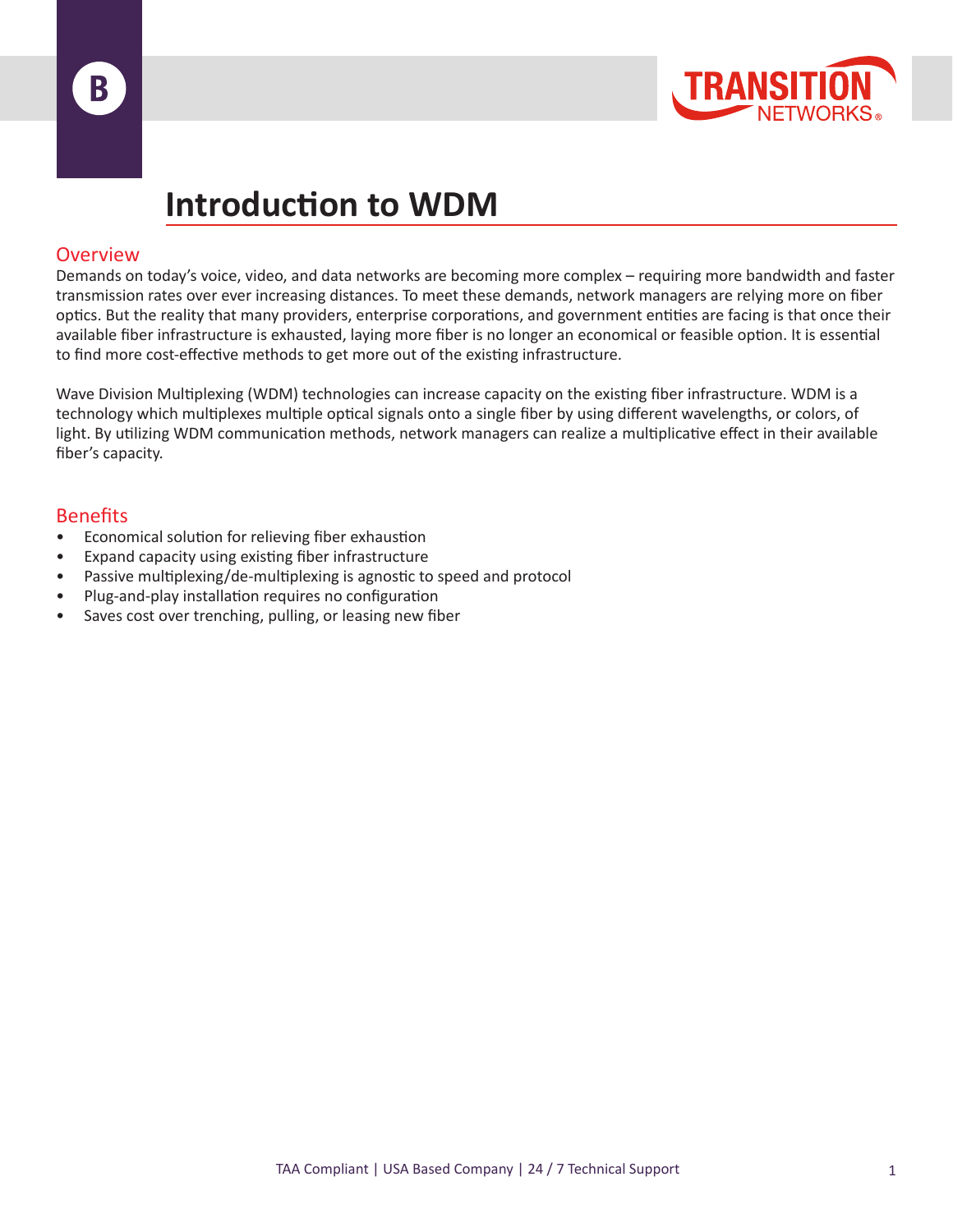



# **Introduction to WDM**

### **Overview**

Demands on today's voice, video, and data networks are becoming more complex – requiring more bandwidth and faster transmission rates over ever increasing distances. To meet these demands, network managers are relying more on fiber optics. But the reality that many providers, enterprise corporations, and government entities are facing is that once their available fiber infrastructure is exhausted, laying more fiber is no longer an economical or feasible option. It is essential to find more cost-effective methods to get more out of the existing infrastructure.

Wave Division Multiplexing (WDM) technologies can increase capacity on the existing fiber infrastructure. WDM is a technology which multiplexes multiple optical signals onto a single fiber by using different wavelengths, or colors, of light. By utilizing WDM communication methods, network managers can realize a multiplicative effect in their available fiber's capacity.

### Benefits

- Economical solution for relieving fiber exhaustion
- Expand capacity using existing fiber infrastructure
- Passive multiplexing/de-multiplexing is agnostic to speed and protocol
- Plug-and-play installation requires no configuration
- Saves cost over trenching, pulling, or leasing new fiber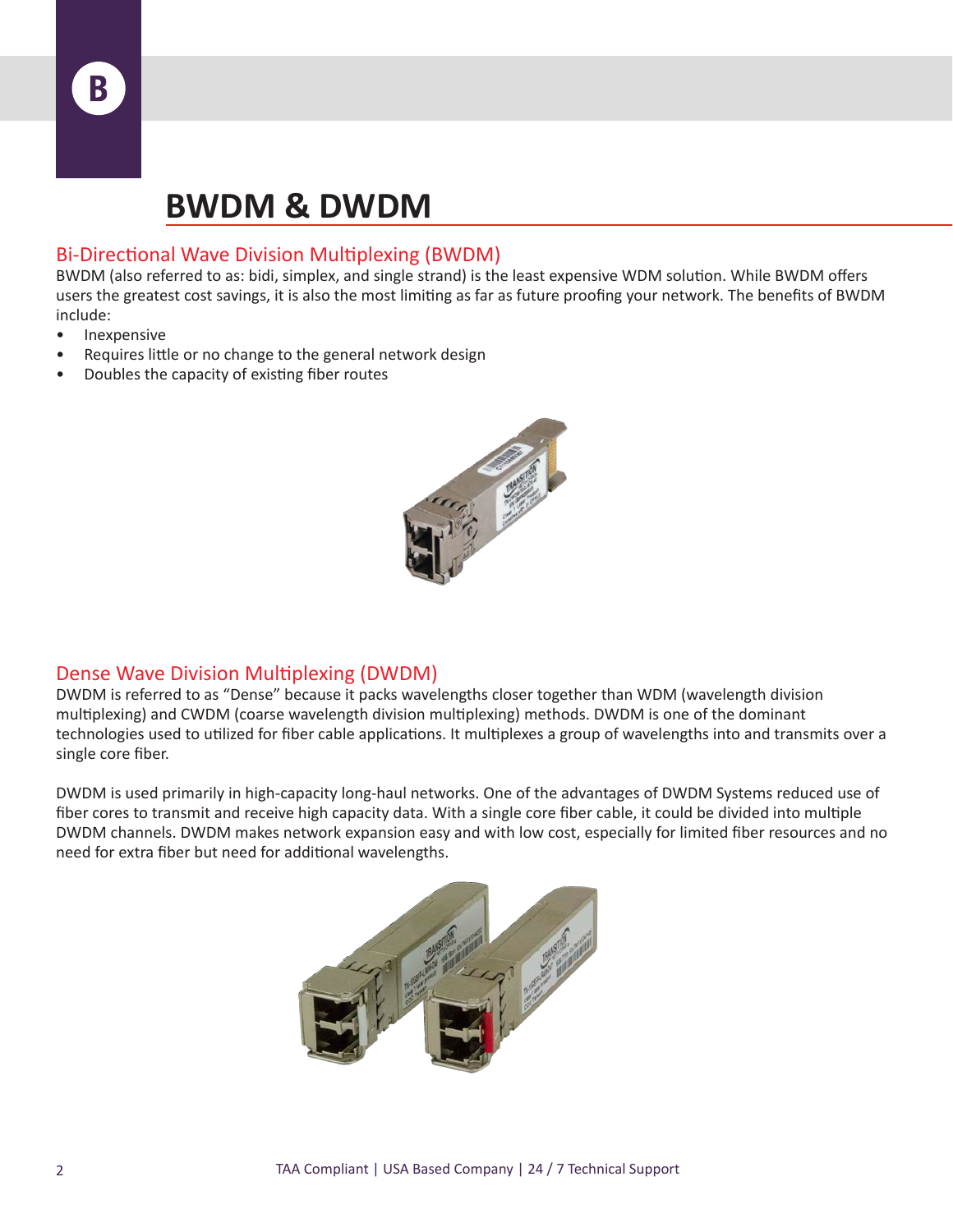

# **BWDM & DWDM**

### Bi-Directional Wave Division Multiplexing (BWDM)

BWDM (also referred to as: bidi, simplex, and single strand) is the least expensive WDM solution. While BWDM offers users the greatest cost savings, it is also the most limiting as far as future proofing your network. The benefits of BWDM include:

- Inexpensive
- Requires little or no change to the general network design
- Doubles the capacity of existing fiber routes



### Dense Wave Division Multiplexing (DWDM)

DWDM is referred to as "Dense" because it packs wavelengths closer together than WDM (wavelength division multiplexing) and CWDM (coarse wavelength division multiplexing) methods. DWDM is one of the dominant technologies used to utilized for fiber cable applications. It multiplexes a group of wavelengths into and transmits over a single core fiber.

DWDM is used primarily in high-capacity long-haul networks. One of the advantages of DWDM Systems reduced use of fiber cores to transmit and receive high capacity data. With a single core fiber cable, it could be divided into multiple DWDM channels. DWDM makes network expansion easy and with low cost, especially for limited fiber resources and no need for extra fiber but need for additional wavelengths.

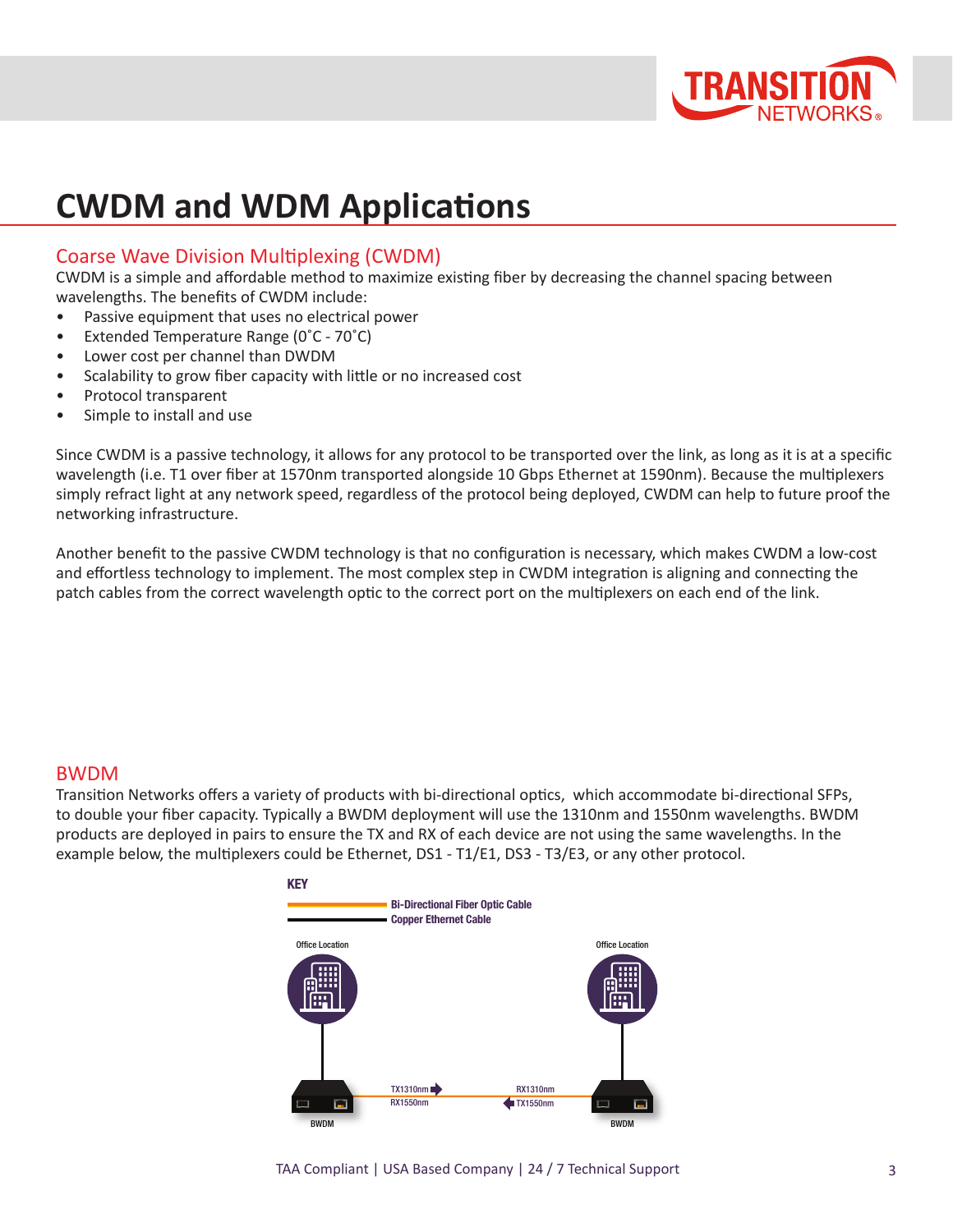

# **CWDM and WDM Applications**

### Coarse Wave Division Multiplexing (CWDM)

CWDM is a simple and affordable method to maximize existing fiber by decreasing the channel spacing between wavelengths. The benefits of CWDM include:

- Passive equipment that uses no electrical power
- Extended Temperature Range (0˚C 70˚C)
- Lower cost per channel than DWDM
- Scalability to grow fiber capacity with little or no increased cost
- Protocol transparent
- Simple to install and use

Since CWDM is a passive technology, it allows for any protocol to be transported over the link, as long as it is at a specific wavelength (i.e. T1 over fiber at 1570nm transported alongside 10 Gbps Ethernet at 1590nm). Because the multiplexers simply refract light at any network speed, regardless of the protocol being deployed, CWDM can help to future proof the networking infrastructure.

Another benefit to the passive CWDM technology is that no configuration is necessary, which makes CWDM a low-cost and effortless technology to implement. The most complex step in CWDM integration is aligning and connecting the patch cables from the correct wavelength optic to the correct port on the multiplexers on each end of the link.

### BWDM

Transition Networks offers a variety of products with bi-directional optics, which accommodate bi-directional SFPs, to double your fiber capacity. Typically a BWDM deployment will use the 1310nm and 1550nm wavelengths. BWDM products are deployed in pairs to ensure the TX and RX of each device are not using the same wavelengths. In the example below, the multiplexers could be Ethernet, DS1 - T1/E1, DS3 - T3/E3, or any other protocol.

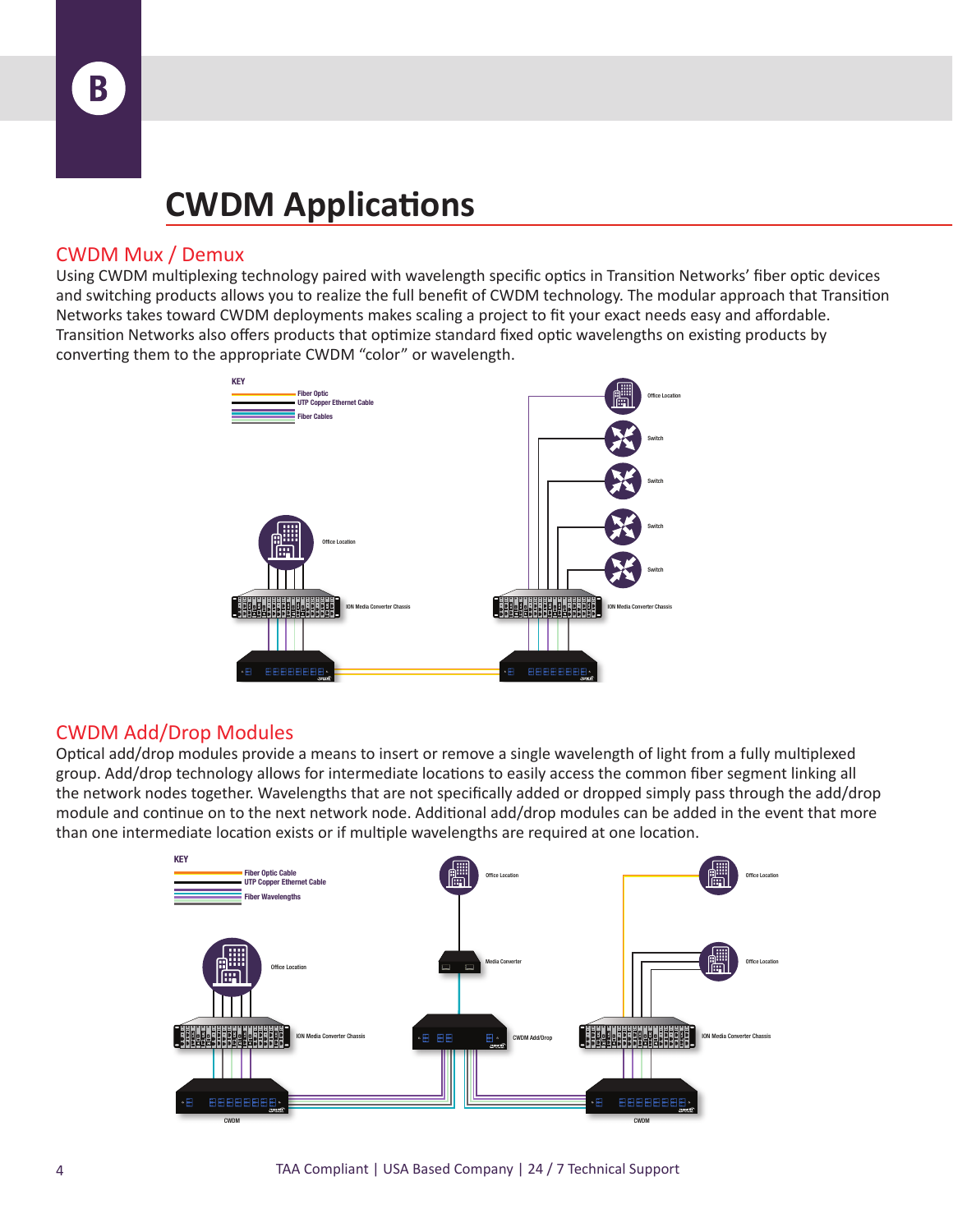# **CWDM Applications**

### CWDM Mux / Demux

Using CWDM multiplexing technology paired with wavelength specific optics in Transition Networks' fiber optic devices and switching products allows you to realize the full benefit of CWDM technology. The modular approach that Transition Networks takes toward CWDM deployments makes scaling a project to fit your exact needs easy and affordable. Transition Networks also offers products that optimize standard fixed optic wavelengths on existing products by converting them to the appropriate CWDM "color" or wavelength.



### CWDM Add/Drop Modules

Optical add/drop modules provide a means to insert or remove a single wavelength of light from a fully multiplexed group. Add/drop technology allows for intermediate locations to easily access the common fiber segment linking all the network nodes together. Wavelengths that are not specifically added or dropped simply pass through the add/drop module and continue on to the next network node. Additional add/drop modules can be added in the event that more than one intermediate location exists or if multiple wavelengths are required at one location.

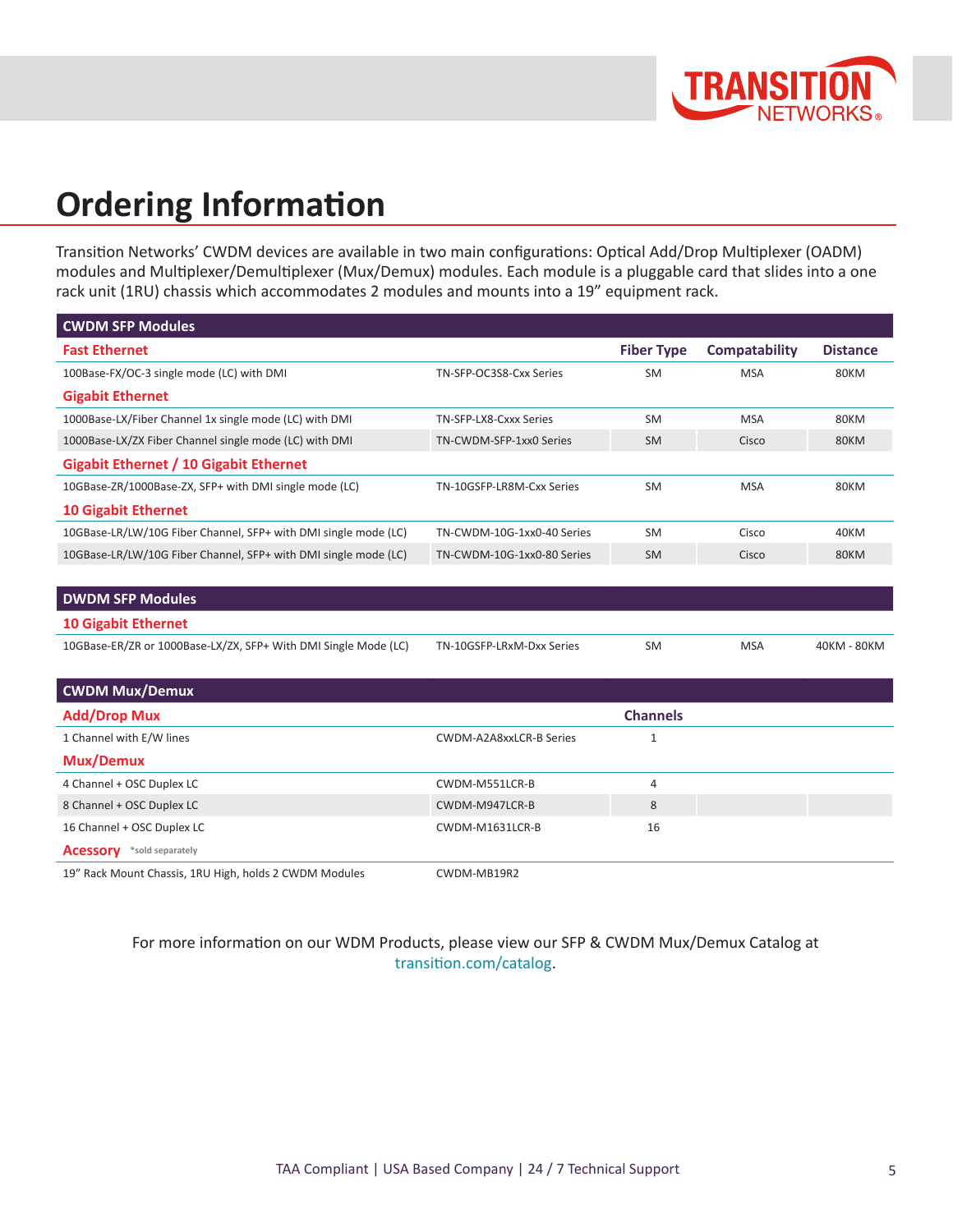

# **Ordering Information**

Transition Networks' CWDM devices are available in two main configurations: Optical Add/Drop Multiplexer (OADM) modules and Multiplexer/Demultiplexer (Mux/Demux) modules. Each module is a pluggable card that slides into a one rack unit (1RU) chassis which accommodates 2 modules and mounts into a 19" equipment rack.

| <b>CWDM SFP Modules</b>                                         |                            |                   |                      |                 |
|-----------------------------------------------------------------|----------------------------|-------------------|----------------------|-----------------|
| <b>Fast Ethernet</b>                                            |                            | <b>Fiber Type</b> | <b>Compatability</b> | <b>Distance</b> |
| 100Base-FX/OC-3 single mode (LC) with DMI                       | TN-SFP-OC3S8-Cxx Series    | <b>SM</b>         | <b>MSA</b>           | 80KM            |
| <b>Gigabit Ethernet</b>                                         |                            |                   |                      |                 |
| 1000Base-LX/Fiber Channel 1x single mode (LC) with DMI          | TN-SFP-LX8-Cxxx Series     | <b>SM</b>         | <b>MSA</b>           | 80KM            |
| 1000Base-LX/ZX Fiber Channel single mode (LC) with DMI          | TN-CWDM-SFP-1xx0 Series    | <b>SM</b>         | Cisco                | <b>80KM</b>     |
| <b>Gigabit Ethernet / 10 Gigabit Ethernet</b>                   |                            |                   |                      |                 |
| 10GBase-ZR/1000Base-ZX, SFP+ with DMI single mode (LC)          | TN-10GSFP-LR8M-Cxx Series  | <b>SM</b>         | <b>MSA</b>           | <b>80KM</b>     |
| <b>10 Gigabit Ethernet</b>                                      |                            |                   |                      |                 |
| 10GBase-LR/LW/10G Fiber Channel, SFP+ with DMI single mode (LC) | TN-CWDM-10G-1xx0-40 Series | <b>SM</b>         | Cisco                | 40KM            |
| 10GBase-LR/LW/10G Fiber Channel, SFP+ with DMI single mode (LC) | TN-CWDM-10G-1xx0-80 Series | <b>SM</b>         | Cisco                | 80KM            |

| <b>DWDM SFP Modules</b>                                         |                           |    |            |             |
|-----------------------------------------------------------------|---------------------------|----|------------|-------------|
| <b>10 Gigabit Ethernet</b>                                      |                           |    |            |             |
| 10GBase-ER/ZR or 1000Base-LX/ZX, SFP+ With DMI Single Mode (LC) | TN-10GSFP-LRxM-Dxx Series | SM | <b>MSA</b> | 40KM - 80KM |

| <b>CWDM Mux/Demux</b>                                  |                         |                 |  |
|--------------------------------------------------------|-------------------------|-----------------|--|
| <b>Add/Drop Mux</b>                                    |                         | <b>Channels</b> |  |
| 1 Channel with E/W lines                               | CWDM-A2A8xxLCR-B Series |                 |  |
| <b>Mux/Demux</b>                                       |                         |                 |  |
| 4 Channel + OSC Duplex LC                              | CWDM-M551LCR-B          | 4               |  |
| 8 Channel + OSC Duplex LC                              | CWDM-M947LCR-B          | 8               |  |
| 16 Channel + OSC Duplex LC                             | CWDM-M1631LCR-B         | 16              |  |
| *sold separately<br><b>Acessory</b>                    |                         |                 |  |
| 10" Back Mount Chassis, 18H High, bolds 2 CWDM Modules | $CUMMA$ $MDAOD2$        |                 |  |

' Rack Mount Chassis, 1RU High, holds 2 CWDM Modules CWDM-MB19R2

### For more information on our WDM Products, please view our SFP & CWDM Mux/Demux Catalog at transition.com/catalog.